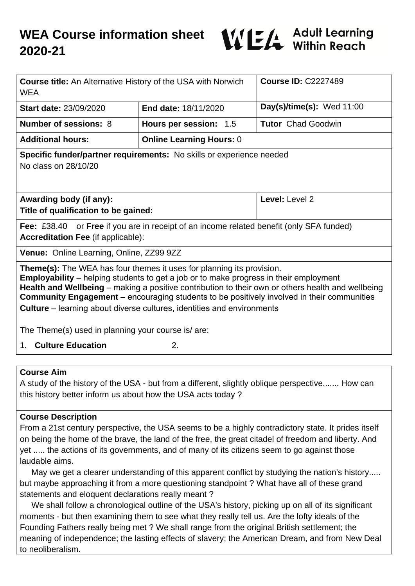

| <b>Course title:</b> An Alternative History of the USA with Norwich<br><b>WEA</b>                                                                                                                                                                                                                                                                                                                                                                                                                                            |                                 | <b>Course ID: C2227489</b>  |
|------------------------------------------------------------------------------------------------------------------------------------------------------------------------------------------------------------------------------------------------------------------------------------------------------------------------------------------------------------------------------------------------------------------------------------------------------------------------------------------------------------------------------|---------------------------------|-----------------------------|
| <b>Start date: 23/09/2020</b>                                                                                                                                                                                                                                                                                                                                                                                                                                                                                                | <b>End date: 18/11/2020</b>     | Day(s)/time(s): Wed $11:00$ |
| Number of sessions: 8                                                                                                                                                                                                                                                                                                                                                                                                                                                                                                        | Hours per session: 1.5          | <b>Tutor</b> Chad Goodwin   |
| <b>Additional hours:</b>                                                                                                                                                                                                                                                                                                                                                                                                                                                                                                     | <b>Online Learning Hours: 0</b> |                             |
| Specific funder/partner requirements: No skills or experience needed<br>No class on 28/10/20                                                                                                                                                                                                                                                                                                                                                                                                                                 |                                 |                             |
| Awarding body (if any):<br>Title of qualification to be gained:                                                                                                                                                                                                                                                                                                                                                                                                                                                              |                                 | Level: Level 2              |
| <b>Fee:</b> £38.40 or <b>Free</b> if you are in receipt of an income related benefit (only SFA funded)<br><b>Accreditation Fee (if applicable):</b>                                                                                                                                                                                                                                                                                                                                                                          |                                 |                             |
| Venue: Online Learning, Online, ZZ99 9ZZ                                                                                                                                                                                                                                                                                                                                                                                                                                                                                     |                                 |                             |
| <b>Theme(s):</b> The WEA has four themes it uses for planning its provision.<br><b>Employability</b> – helping students to get a job or to make progress in their employment<br>Health and Wellbeing – making a positive contribution to their own or others health and wellbeing<br><b>Community Engagement</b> – encouraging students to be positively involved in their communities<br><b>Culture</b> – learning about diverse cultures, identities and environments<br>The Theme(s) used in planning your course is/are: |                                 |                             |
| <b>Culture Education</b><br>2.<br>$1_{\cdot}$                                                                                                                                                                                                                                                                                                                                                                                                                                                                                |                                 |                             |
|                                                                                                                                                                                                                                                                                                                                                                                                                                                                                                                              |                                 |                             |

#### **Course Aim**

A study of the history of the USA - but from a different, slightly oblique perspective....... How can this history better inform us about how the USA acts today ?

#### **Course Description**

From a 21st century perspective, the USA seems to be a highly contradictory state. It prides itself on being the home of the brave, the land of the free, the great citadel of freedom and liberty. And yet ..... the actions of its governments, and of many of its citizens seem to go against those laudable aims.

 May we get a clearer understanding of this apparent conflict by studying the nation's history..... but maybe approaching it from a more questioning standpoint ? What have all of these grand statements and eloquent declarations really meant ?

 We shall follow a chronological outline of the USA's history, picking up on all of its significant moments - but then examining them to see what they really tell us. Are the lofty ideals of the Founding Fathers really being met ? We shall range from the original British settlement; the meaning of independence; the lasting effects of slavery; the American Dream, and from New Deal to neoliberalism.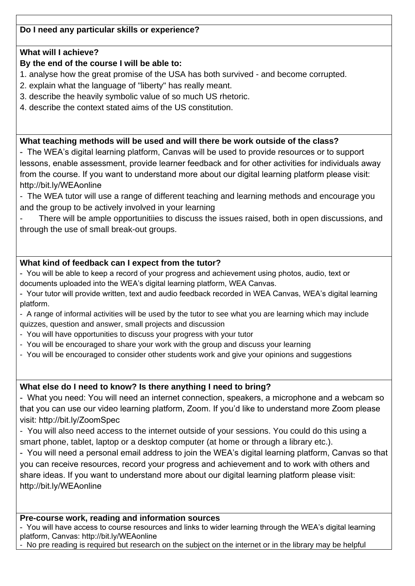# **Do I need any particular skills or experience?**

#### **What will I achieve?**

## **By the end of the course I will be able to:**

- 1. analyse how the great promise of the USA has both survived and become corrupted.
- 2. explain what the language of "liberty" has really meant.
- 3. describe the heavily symbolic value of so much US rhetoric.
- 4. describe the context stated aims of the US constitution.

#### **What teaching methods will be used and will there be work outside of the class?**

- The WEA's digital learning platform, Canvas will be used to provide resources or to support lessons, enable assessment, provide learner feedback and for other activities for individuals away from the course. If you want to understand more about our digital learning platform please visit: http://bit.ly/WEAonline

- The WEA tutor will use a range of different teaching and learning methods and encourage you and the group to be actively involved in your learning

There will be ample opportunitiies to discuss the issues raised, both in open discussions, and through the use of small break-out groups.

# **What kind of feedback can I expect from the tutor?**

- You will be able to keep a record of your progress and achievement using photos, audio, text or documents uploaded into the WEA's digital learning platform, WEA Canvas.

- Your tutor will provide written, text and audio feedback recorded in WEA Canvas, WEA's digital learning platform.
- A range of informal activities will be used by the tutor to see what you are learning which may include quizzes, question and answer, small projects and discussion
- You will have opportunities to discuss your progress with your tutor
- You will be encouraged to share your work with the group and discuss your learning
- You will be encouraged to consider other students work and give your opinions and suggestions

# **What else do I need to know? Is there anything I need to bring?**

- What you need: You will need an internet connection, speakers, a microphone and a webcam so that you can use our video learning platform, Zoom. If you'd like to understand more Zoom please visit: http://bit.ly/ZoomSpec

- You will also need access to the internet outside of your sessions. You could do this using a smart phone, tablet, laptop or a desktop computer (at home or through a library etc.).

- You will need a personal email address to join the WEA's digital learning platform, Canvas so that you can receive resources, record your progress and achievement and to work with others and share ideas. If you want to understand more about our digital learning platform please visit: http://bit.ly/WEAonline

# **Pre-course work, reading and information sources**

- You will have access to course resources and links to wider learning through the WEA's digital learning platform, Canvas: http://bit.ly/WEAonline

- No pre reading is required but research on the subject on the internet or in the library may be helpful